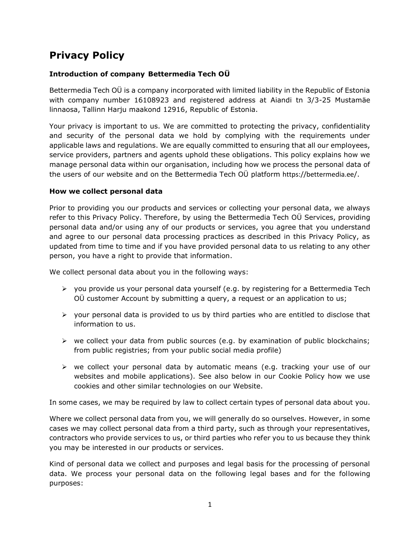# **Privacy Policy**

## **Introduction of company Bettermedia Tech OÜ**

Bettermedia Tech OÜ is a company incorporated with limited liability in the Republic of Estonia with company number 16108923 and registered address at Aiandi tn 3/3-25 Mustamäe linnaosa, Tallinn Harju maakond 12916, Republic of Estonia.

Your privacy is important to us. We are committed to protecting the privacy, confidentiality and security of the personal data we hold by complying with the requirements under applicable laws and regulations. We are equally committed to ensuring that all our employees, service providers, partners and agents uphold these obligations. This policy explains how we manage personal data within our organisation, including how we process the personal data of the users of our website and on the Bettermedia Tech OÜ platform https://bettermedia.ee/.

#### **How we collect personal data**

Prior to providing you our products and services or collecting your personal data, we always refer to this Privacy Policy. Therefore, by using the Bettermedia Tech OÜ Services, providing personal data and/or using any of our products or services, you agree that you understand and agree to our personal data processing practices as described in this Privacy Policy, as updated from time to time and if you have provided personal data to us relating to any other person, you have a right to provide that information.

We collect personal data about you in the following ways:

- ➢ you provide us your personal data yourself (e.g. by registering for a Bettermedia Tech OÜ customer Account by submitting a query, a request or an application to us;
- $\triangleright$  your personal data is provided to us by third parties who are entitled to disclose that information to us.
- $\triangleright$  we collect your data from public sources (e.g. by examination of public blockchains; from public registries; from your public social media profile)
- $\triangleright$  we collect your personal data by automatic means (e.g. tracking your use of our websites and mobile applications). See also below in our Cookie Policy how we use cookies and other similar technologies on our Website.

In some cases, we may be required by law to collect certain types of personal data about you.

Where we collect personal data from you, we will generally do so ourselves. However, in some cases we may collect personal data from a third party, such as through your representatives, contractors who provide services to us, or third parties who refer you to us because they think you may be interested in our products or services.

Kind of personal data we collect and purposes and legal basis for the processing of personal data. We process your personal data on the following legal bases and for the following purposes: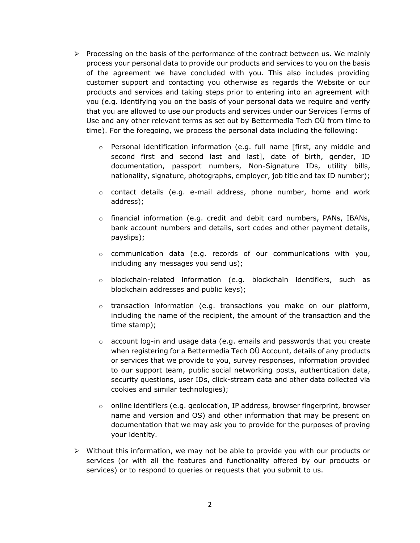- $\triangleright$  Processing on the basis of the performance of the contract between us. We mainly process your personal data to provide our products and services to you on the basis of the agreement we have concluded with you. This also includes providing customer support and contacting you otherwise as regards the Website or our products and services and taking steps prior to entering into an agreement with you (e.g. identifying you on the basis of your personal data we require and verify that you are allowed to use our products and services under our Services Terms of Use and any other relevant terms as set out by Bettermedia Tech OÜ from time to time). For the foregoing, we process the personal data including the following:
	- o Personal identification information (e.g. full name [first, any middle and second first and second last and last], date of birth, gender, ID documentation, passport numbers, Non-Signature IDs, utility bills, nationality, signature, photographs, employer, job title and tax ID number);
	- $\circ$  contact details (e.g. e-mail address, phone number, home and work address);
	- o financial information (e.g. credit and debit card numbers, PANs, IBANs, bank account numbers and details, sort codes and other payment details, payslips);
	- $\circ$  communication data (e.g. records of our communications with you, including any messages you send us);
	- o blockchain-related information (e.g. blockchain identifiers, such as blockchain addresses and public keys);
	- $\circ$  transaction information (e.g. transactions you make on our platform, including the name of the recipient, the amount of the transaction and the time stamp);
	- $\circ$  account log-in and usage data (e.g. emails and passwords that you create when registering for a Bettermedia Tech OÜ Account, details of any products or services that we provide to you, survey responses, information provided to our support team, public social networking posts, authentication data, security questions, user IDs, click-stream data and other data collected via cookies and similar technologies);
	- $\circ$  online identifiers (e.g. geolocation, IP address, browser fingerprint, browser name and version and OS) and other information that may be present on documentation that we may ask you to provide for the purposes of proving your identity.
- $\triangleright$  Without this information, we may not be able to provide you with our products or services (or with all the features and functionality offered by our products or services) or to respond to queries or requests that you submit to us.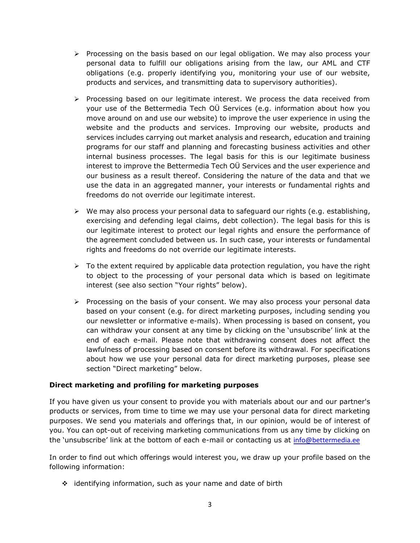- $\triangleright$  Processing on the basis based on our legal obligation. We may also process your personal data to fulfill our obligations arising from the law, our AML and CTF obligations (e.g. properly identifying you, monitoring your use of our website, products and services, and transmitting data to supervisory authorities).
- $\triangleright$  Processing based on our legitimate interest. We process the data received from your use of the Bettermedia Tech OÜ Services (e.g. information about how you move around on and use our website) to improve the user experience in using the website and the products and services. Improving our website, products and services includes carrying out market analysis and research, education and training programs for our staff and planning and forecasting business activities and other internal business processes. The legal basis for this is our legitimate business interest to improve the Bettermedia Tech OÜ Services and the user experience and our business as a result thereof. Considering the nature of the data and that we use the data in an aggregated manner, your interests or fundamental rights and freedoms do not override our legitimate interest.
- $\triangleright$  We may also process your personal data to safeguard our rights (e.g. establishing, exercising and defending legal claims, debt collection). The legal basis for this is our legitimate interest to protect our legal rights and ensure the performance of the agreement concluded between us. In such case, your interests or fundamental rights and freedoms do not override our legitimate interests.
- $\triangleright$  To the extent required by applicable data protection requlation, you have the right to object to the processing of your personal data which is based on legitimate interest (see also section "Your rights" below).
- $\triangleright$  Processing on the basis of your consent. We may also process your personal data based on your consent (e.g. for direct marketing purposes, including sending you our newsletter or informative e-mails). When processing is based on consent, you can withdraw your consent at any time by clicking on the 'unsubscribe' link at the end of each e-mail. Please note that withdrawing consent does not affect the lawfulness of processing based on consent before its withdrawal. For specifications about how we use your personal data for direct marketing purposes, please see section "Direct marketing" below.

## **Direct marketing and profiling for marketing purposes**

If you have given us your consent to provide you with materials about our and our partner's products or services, from time to time we may use your personal data for direct marketing purposes. We send you materials and offerings that, in our opinion, would be of interest of you. You can opt-out of receiving marketing communications from us any time by clicking on the 'unsubscribe' link at the bottom of each e-mail or contacting us at [info@bettermedia.ee](mailto:info@bettermedia.ee)

In order to find out which offerings would interest you, we draw up your profile based on the following information:

❖ identifying information, such as your name and date of birth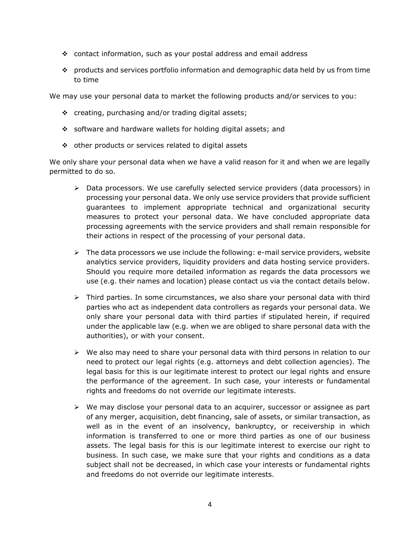- ❖ contact information, such as your postal address and email address
- ❖ products and services portfolio information and demographic data held by us from time to time

We may use your personal data to market the following products and/or services to you:

- ❖ creating, purchasing and/or trading digital assets;
- ❖ software and hardware wallets for holding digital assets; and
- ❖ other products or services related to digital assets

We only share your personal data when we have a valid reason for it and when we are legally permitted to do so.

- $\triangleright$  Data processors. We use carefully selected service providers (data processors) in processing your personal data. We only use service providers that provide sufficient guarantees to implement appropriate technical and organizational security measures to protect your personal data. We have concluded appropriate data processing agreements with the service providers and shall remain responsible for their actions in respect of the processing of your personal data.
- $\triangleright$  The data processors we use include the following: e-mail service providers, website analytics service providers, liquidity providers and data hosting service providers. Should you require more detailed information as regards the data processors we use (e.g. their names and location) please contact us via the contact details below.
- $\triangleright$  Third parties. In some circumstances, we also share your personal data with third parties who act as independent data controllers as regards your personal data. We only share your personal data with third parties if stipulated herein, if required under the applicable law (e.g. when we are obliged to share personal data with the authorities), or with your consent.
- $\triangleright$  We also may need to share your personal data with third persons in relation to our need to protect our legal rights (e.g. attorneys and debt collection agencies). The legal basis for this is our legitimate interest to protect our legal rights and ensure the performance of the agreement. In such case, your interests or fundamental rights and freedoms do not override our legitimate interests.
- $\triangleright$  We may disclose your personal data to an acquirer, successor or assignee as part of any merger, acquisition, debt financing, sale of assets, or similar transaction, as well as in the event of an insolvency, bankruptcy, or receivership in which information is transferred to one or more third parties as one of our business assets. The legal basis for this is our legitimate interest to exercise our right to business. In such case, we make sure that your rights and conditions as a data subject shall not be decreased, in which case your interests or fundamental rights and freedoms do not override our legitimate interests.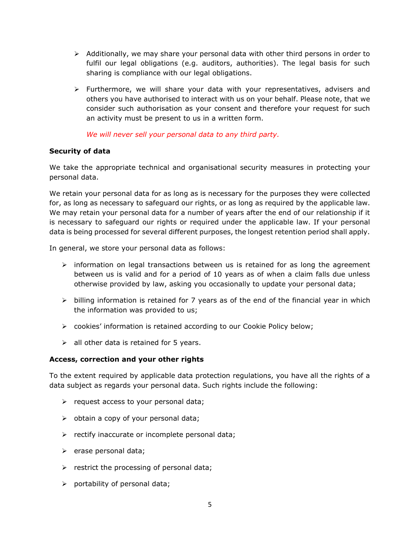- $\triangleright$  Additionally, we may share your personal data with other third persons in order to fulfil our legal obligations (e.g. auditors, authorities). The legal basis for such sharing is compliance with our legal obligations.
- $\triangleright$  Furthermore, we will share your data with your representatives, advisers and others you have authorised to interact with us on your behalf. Please note, that we consider such authorisation as your consent and therefore your request for such an activity must be present to us in a written form.

*We will never sell your personal data to any third party.*

## **Security of data**

We take the appropriate technical and organisational security measures in protecting your personal data.

We retain your personal data for as long as is necessary for the purposes they were collected for, as long as necessary to safeguard our rights, or as long as required by the applicable law. We may retain your personal data for a number of years after the end of our relationship if it is necessary to safeguard our rights or required under the applicable law. If your personal data is being processed for several different purposes, the longest retention period shall apply.

In general, we store your personal data as follows:

- $\triangleright$  information on legal transactions between us is retained for as long the agreement between us is valid and for a period of 10 years as of when a claim falls due unless otherwise provided by law, asking you occasionally to update your personal data;
- $\triangleright$  billing information is retained for 7 years as of the end of the financial year in which the information was provided to us;
- $\triangleright$  cookies' information is retained according to our Cookie Policy below;
- $\geq$  all other data is retained for 5 years.

## **Access, correction and your other rights**

To the extent required by applicable data protection regulations, you have all the rights of a data subject as regards your personal data. Such rights include the following:

- $\triangleright$  request access to your personal data;
- ➢ obtain a copy of your personal data;
- $\triangleright$  rectify inaccurate or incomplete personal data;
- ➢ erase personal data;
- $\triangleright$  restrict the processing of personal data;
- $\triangleright$  portability of personal data;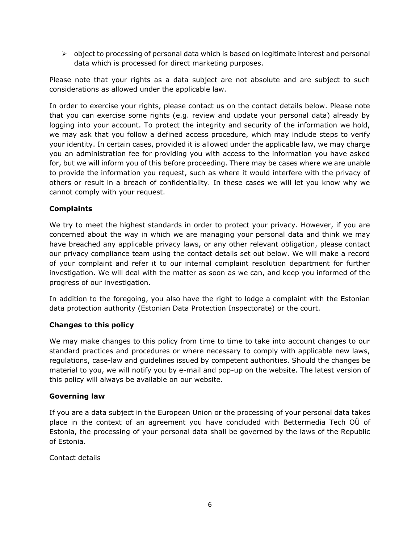$\triangleright$  object to processing of personal data which is based on legitimate interest and personal data which is processed for direct marketing purposes.

Please note that your rights as a data subject are not absolute and are subject to such considerations as allowed under the applicable law.

In order to exercise your rights, please contact us on the contact details below. Please note that you can exercise some rights (e.g. review and update your personal data) already by logging into your account. To protect the integrity and security of the information we hold, we may ask that you follow a defined access procedure, which may include steps to verify your identity. In certain cases, provided it is allowed under the applicable law, we may charge you an administration fee for providing you with access to the information you have asked for, but we will inform you of this before proceeding. There may be cases where we are unable to provide the information you request, such as where it would interfere with the privacy of others or result in a breach of confidentiality. In these cases we will let you know why we cannot comply with your request.

## **Complaints**

We try to meet the highest standards in order to protect your privacy. However, if you are concerned about the way in which we are managing your personal data and think we may have breached any applicable privacy laws, or any other relevant obligation, please contact our privacy compliance team using the contact details set out below. We will make a record of your complaint and refer it to our internal complaint resolution department for further investigation. We will deal with the matter as soon as we can, and keep you informed of the progress of our investigation.

In addition to the foregoing, you also have the right to lodge a complaint with the Estonian data protection authority (Estonian Data Protection Inspectorate) or the court.

## **Changes to this policy**

We may make changes to this policy from time to time to take into account changes to our standard practices and procedures or where necessary to comply with applicable new laws, regulations, case-law and guidelines issued by competent authorities. Should the changes be material to you, we will notify you by e-mail and pop-up on the website. The latest version of this policy will always be available on our website.

## **Governing law**

If you are a data subject in the European Union or the processing of your personal data takes place in the context of an agreement you have concluded with Bettermedia Tech OÜ of Estonia, the processing of your personal data shall be governed by the laws of the Republic of Estonia.

Contact details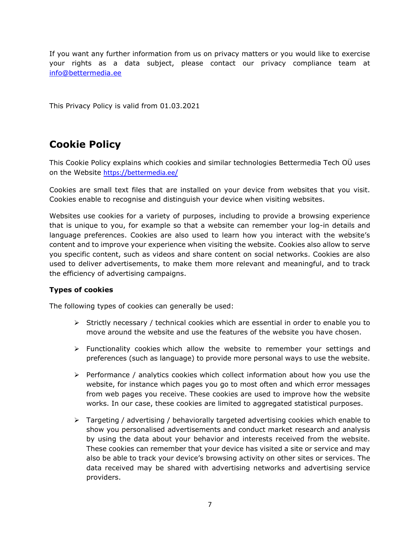If you want any further information from us on privacy matters or you would like to exercise your rights as a data subject, please contact our privacy compliance team at [info@bettermedia.ee](mailto:info@bettermedia.ee)

This Privacy Policy is valid from 01.03.2021

# **Cookie Policy**

This Cookie Policy explains which cookies and similar technologies Bettermedia Tech OÜ uses on the Website <https://bettermedia.ee/>

Cookies are small text files that are installed on your device from websites that you visit. Cookies enable to recognise and distinguish your device when visiting websites.

Websites use cookies for a variety of purposes, including to provide a browsing experience that is unique to you, for example so that a website can remember your log-in details and language preferences. Cookies are also used to learn how you interact with the website's content and to improve your experience when visiting the website. Cookies also allow to serve you specific content, such as videos and share content on social networks. Cookies are also used to deliver advertisements, to make them more relevant and meaningful, and to track the efficiency of advertising campaigns.

## **Types of cookies**

The following types of cookies can generally be used:

- $\triangleright$  Strictly necessary / technical cookies which are essential in order to enable you to move around the website and use the features of the website you have chosen.
- $\triangleright$  Functionality cookies which allow the website to remember your settings and preferences (such as language) to provide more personal ways to use the website.
- $\triangleright$  Performance / analytics cookies which collect information about how you use the website, for instance which pages you go to most often and which error messages from web pages you receive. These cookies are used to improve how the website works. In our case, these cookies are limited to aggregated statistical purposes.
- $\triangleright$  Targeting / advertising / behaviorally targeted advertising cookies which enable to show you personalised advertisements and conduct market research and analysis by using the data about your behavior and interests received from the website. These cookies can remember that your device has visited a site or service and may also be able to track your device's browsing activity on other sites or services. The data received may be shared with advertising networks and advertising service providers.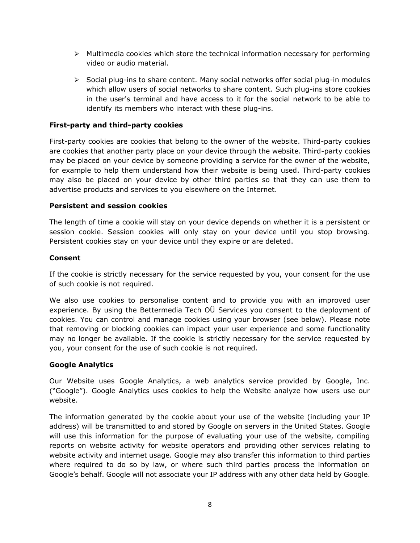- $\triangleright$  Multimedia cookies which store the technical information necessary for performing video or audio material.
- $\triangleright$  Social plug-ins to share content. Many social networks offer social plug-in modules which allow users of social networks to share content. Such plug-ins store cookies in the user's terminal and have access to it for the social network to be able to identify its members who interact with these plug-ins.

#### **First-party and third-party cookies**

First-party cookies are cookies that belong to the owner of the website. Third-party cookies are cookies that another party place on your device through the website. Third-party cookies may be placed on your device by someone providing a service for the owner of the website, for example to help them understand how their website is being used. Third-party cookies may also be placed on your device by other third parties so that they can use them to advertise products and services to you elsewhere on the Internet.

#### **Persistent and session cookies**

The length of time a cookie will stay on your device depends on whether it is a persistent or session cookie. Session cookies will only stay on your device until you stop browsing. Persistent cookies stay on your device until they expire or are deleted.

#### **Consent**

If the cookie is strictly necessary for the service requested by you, your consent for the use of such cookie is not required.

We also use cookies to personalise content and to provide you with an improved user experience. By using the Bettermedia Tech OÜ Services you consent to the deployment of cookies. You can control and manage cookies using your browser (see below). Please note that removing or blocking cookies can impact your user experience and some functionality may no longer be available. If the cookie is strictly necessary for the service requested by you, your consent for the use of such cookie is not required.

#### **Google Analytics**

Our Website uses Google Analytics, a web analytics service provided by Google, Inc. ("Google"). Google Analytics uses cookies to help the Website analyze how users use our website.

The information generated by the cookie about your use of the website (including your IP address) will be transmitted to and stored by Google on servers in the United States. Google will use this information for the purpose of evaluating your use of the website, compiling reports on website activity for website operators and providing other services relating to website activity and internet usage. Google may also transfer this information to third parties where required to do so by law, or where such third parties process the information on Google's behalf. Google will not associate your IP address with any other data held by Google.